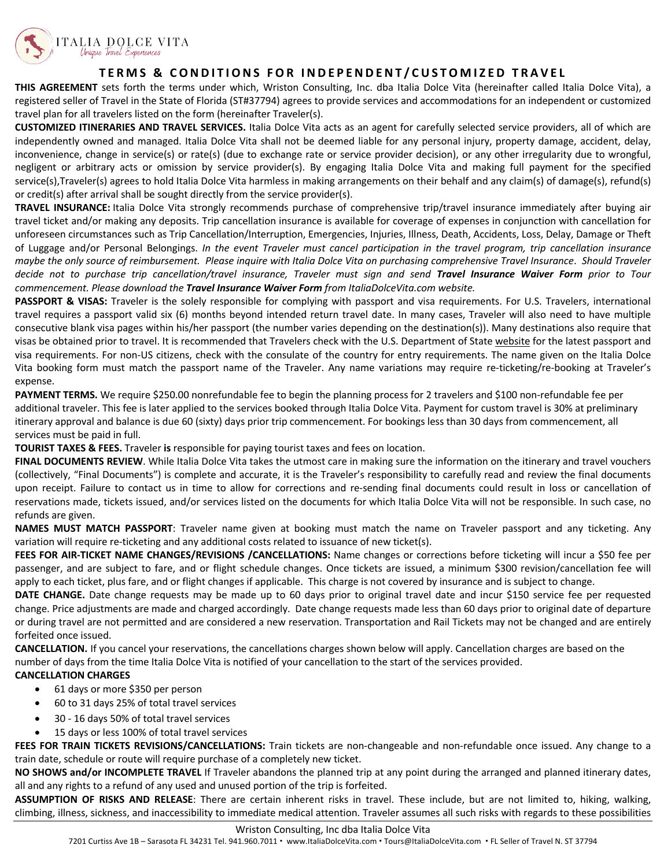

## **TERMS & CONDITIONS FOR INDEPENDENT / C USTOMIZED TRAVEL**

**THIS AGREEMENT** sets forth the terms under which, Wriston Consulting, Inc. dba Italia Dolce Vita (hereinafter called Italia Dolce Vita), a registered seller of Travel in the State of Florida (ST#37794) agrees to provide services and accommodations for an independent or customized travel plan for all travelers listed on the form (hereinafter Traveler(s).

**CUSTOMIZED ITINERARIES AND TRAVEL SERVICES.** Italia Dolce Vita acts as an agent for carefully selected service providers, all of which are independently owned and managed. Italia Dolce Vita shall not be deemed liable for any personal injury, property damage, accident, delay, inconvenience, change in service(s) or rate(s) (due to exchange rate or service provider decision), or any other irregularity due to wrongful, negligent or arbitrary acts or omission by service provider(s). By engaging Italia Dolce Vita and making full payment for the specified service(s),Traveler(s) agrees to hold Italia Dolce Vita harmless in making arrangements on their behalf and any claim(s) of damage(s), refund(s) or credit(s) after arrival shall be sought directly from the service provider(s).

**TRAVEL INSURANCE:** Italia Dolce Vita strongly recommends purchase of comprehensive trip/travel insurance immediately after buying air travel ticket and/or making any deposits. Trip cancellation insurance is available for coverage of expenses in conjunction with cancellation for unforeseen circumstances such as Trip Cancellation/Interruption, Emergencies, Injuries, Illness, Death, Accidents, Loss, Delay, Damage or Theft of Luggage and/or Personal Belongings. *In the event Traveler must cancel participation in the travel program, trip cancellation insurance maybe the only source of reimbursement. Please inquire with Italia Dolce Vita on purchasing comprehensive Travel Insurance*. *Should Traveler decide not to purchase trip cancellation/travel insurance, Traveler must sign and send Travel Insurance Waiver Form prior to Tour commencement. Please download the Travel Insurance Waiver Form from ItaliaDolceVita.com website.*

**PASSPORT & VISAS:** Traveler is the solely responsible for complying with passport and visa requirements. For U.S. Travelers, international travel requires a passport valid six (6) months beyond intended return travel date. In many cases, Traveler will also need to have multiple consecutive blank visa pages within his/her passport (the number varies depending on the destination(s)). Many destinations also require that visas be obtained prior to travel. It is recommended that Travelers check with the U.S. Department of State website for the latest passport and visa requirements. For non-US citizens, check with the consulate of the country for entry requirements. The name given on the Italia Dolce Vita booking form must match the passport name of the Traveler. Any name variations may require re-ticketing/re-booking at Traveler's expense.

**PAYMENT TERMS.** We require \$250.00 nonrefundable fee to begin the planning process for 2 travelers and \$100 non-refundable fee per additional traveler. This fee is later applied to the services booked through Italia Dolce Vita. Payment for custom travel is 30% at preliminary itinerary approval and balance is due 60 (sixty) days prior trip commencement. For bookings less than 30 days from commencement, all services must be paid in full.

**TOURIST TAXES & FEES.** Traveler **is** responsible for paying tourist taxes and fees on location.

**FINAL DOCUMENTS REVIEW**. While Italia Dolce Vita takes the utmost care in making sure the information on the itinerary and travel vouchers (collectively, "Final Documents") is complete and accurate, it is the Traveler's responsibility to carefully read and review the final documents upon receipt. Failure to contact us in time to allow for corrections and re-sending final documents could result in loss or cancellation of reservations made, tickets issued, and/or services listed on the documents for which Italia Dolce Vita will not be responsible. In such case, no refunds are given.

**NAMES MUST MATCH PASSPORT**: Traveler name given at booking must match the name on Traveler passport and any ticketing. Any variation will require re-ticketing and any additional costs related to issuance of new ticket(s).

**FEES FOR AIR-TICKET NAME CHANGES/REVISIONS /CANCELLATIONS:** Name changes or corrections before ticketing will incur a \$50 fee per passenger, and are subject to fare, and or flight schedule changes. Once tickets are issued, a minimum \$300 revision/cancellation fee will apply to each ticket, plus fare, and or flight changes if applicable. This charge is not covered by insurance and is subject to change.

**DATE CHANGE.** Date change requests may be made up to 60 days prior to original travel date and incur \$150 service fee per requested change. Price adjustments are made and charged accordingly. Date change requests made less than 60 days prior to original date of departure or during travel are not permitted and are considered a new reservation. Transportation and Rail Tickets may not be changed and are entirely forfeited once issued.

**CANCELLATION.** If you cancel your reservations, the cancellations charges shown below will apply. Cancellation charges are based on the number of days from the time Italia Dolce Vita is notified of your cancellation to the start of the services provided.

## **CANCELLATION CHARGES**

- 61 days or more \$350 per person
- 60 to 31 days 25% of total travel services
- 30 16 days 50% of total travel services
- 15 days or less 100% of total travel services

**FEES FOR TRAIN TICKETS REVISIONS/CANCELLATIONS:** Train tickets are non-changeable and non-refundable once issued. Any change to a train date, schedule or route will require purchase of a completely new ticket.

**NO SHOWS and/or INCOMPLETE TRAVEL** If Traveler abandons the planned trip at any point during the arranged and planned itinerary dates, all and any rights to a refund of any used and unused portion of the trip is forfeited.

**ASSUMPTION OF RISKS AND RELEASE**: There are certain inherent risks in travel. These include, but are not limited to, hiking, walking, climbing, illness, sickness, and inaccessibility to immediate medical attention. Traveler assumes all such risks with regards to these possibilities